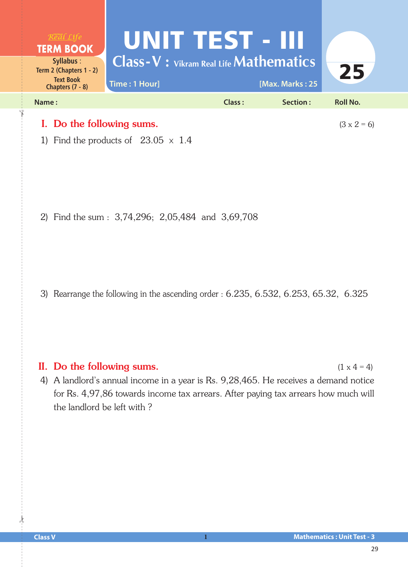

1) Find the products of  $23.05 \times 1.4$ 

2) Find the sum : 3,74,296; 2,05,484 and 3,69,708

3) Rearrange the following in the ascending order : 6.235, 6.532, 6.253, 65.32, 6.325

## II. Do the following sums.  $(1 \times 4 = 4)$

4) A landlord's annual income in a year is Rs.  $9,28,465$ . He receives a demand notice for Rs. 4,97,86 towards income tax arrears. After paying tax arrears how much will the landlord be left with ?

 $\frac{1}{2}$